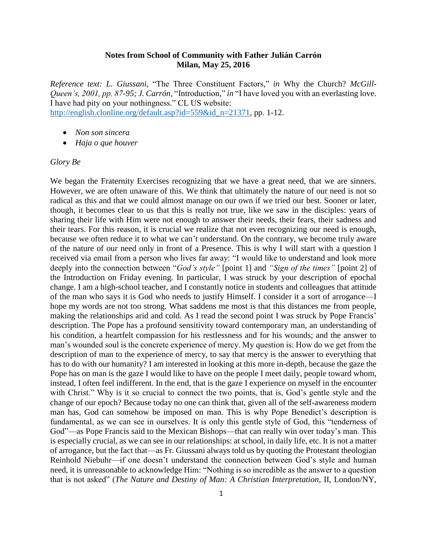## **Notes from School of Community with Father Julián Carrón Milan, May 25, 2016**

*Reference text: L. Giussani,* "The Three Constituent Factors*,*" *in* Why the Church? *McGill-Queen's, 2001, pp. 87-95; J. Carrón,* "Introduction," *in* "I have loved you with an everlasting love. I have had pity on your nothingness." CL US website: [http://english.clonline.org/default.asp?id=559&id\\_n=21371,](http://english.clonline.org/default.asp?id=559&id_n=21371) pp. 1-12.

- *Non son sincera*
- *Haja o que houver*

## *Glory Be*

We began the Fraternity Exercises recognizing that we have a great need, that we are sinners. However, we are often unaware of this. We think that ultimately the nature of our need is not so radical as this and that we could almost manage on our own if we tried our best. Sooner or later, though, it becomes clear to us that this is really not true, like we saw in the disciples: years of sharing their life with Him were not enough to answer their needs, their fears, their sadness and their tears. For this reason, it is crucial we realize that not even recognizing our need is enough, because we often reduce it to what we can't understand. On the contrary, we become truly aware of the nature of our need only in front of a Presence. This is why I will start with a question I received via email from a person who lives far away: "I would like to understand and look more deeply into the connection between "*God's style"* [point 1] and *"Sign of the times"* [point 2] of the Introduction on Friday evening. In particular, I was struck by your description of epochal change. I am a high-school teacher, and I constantly notice in students and colleagues that attitude of the man who says it is God who needs to justify Himself. I consider it a sort of arrogance—I hope my words are not too strong. What saddens me most is that this distances me from people, making the relationships arid and cold. As I read the second point I was struck by Pope Francis' description. The Pope has a profound sensitivity toward contemporary man, an understanding of his condition, a heartfelt compassion for his restlessness and for his wounds; and the answer to man's wounded soul is the concrete experience of mercy. My question is: How do we get from the description of man to the experience of mercy, to say that mercy is the answer to everything that has to do with our humanity? I am interested in looking at this more in-depth, because the gaze the Pope has on man is the gaze I would like to have on the people I meet daily, people toward whom, instead, I often feel indifferent. In the end, that is the gaze I experience on myself in the encounter with Christ." Why is it so crucial to connect the two points, that is, God's gentle style and the change of our epoch? Because today no one can think that, given all of the self-awareness modern man has, God can somehow be imposed on man. This is why Pope Benedict's description is fundamental, as we can see in ourselves. It is only this gentle style of God, this "tenderness of God"—as Pope Francis said to the Mexican Bishops—that can really win over today's man. This is especially crucial, as we can see in our relationships: at school, in daily life, etc. It is not a matter of arrogance, but the fact that—as Fr. Giussani always told us by quoting the Protestant theologian Reinhold Niebuhr—if one doesn't understand the connection between God's style and human need, it is unreasonable to acknowledge Him: "Nothing is so incredible as the answer to a question that is not asked" (*The Nature and Destiny of Man: A Christian Interpretation,* II, London/NY,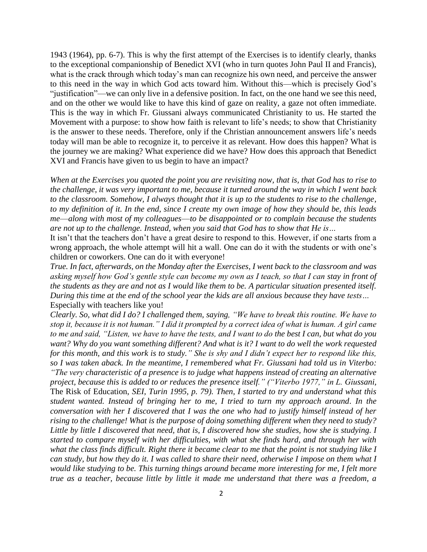1943 (1964), pp. 6-7). This is why the first attempt of the Exercises is to identify clearly, thanks to the exceptional companionship of Benedict XVI (who in turn quotes John Paul II and Francis), what is the crack through which today's man can recognize his own need, and perceive the answer to this need in the way in which God acts toward him. Without this—which is precisely God's "justification"—we can only live in a defensive position. In fact, on the one hand we see this need, and on the other we would like to have this kind of gaze on reality, a gaze not often immediate. This is the way in which Fr. Giussani always communicated Christianity to us. He started the Movement with a purpose: to show how faith is relevant to life's needs; to show that Christianity is the answer to these needs. Therefore, only if the Christian announcement answers life's needs today will man be able to recognize it, to perceive it as relevant. How does this happen? What is the journey we are making? What experience did we have? How does this approach that Benedict XVI and Francis have given to us begin to have an impact?

*When at the Exercises you quoted the point you are revisiting now, that is, that God has to rise to the challenge, it was very important to me, because it turned around the way in which I went back to the classroom. Somehow, I always thought that it is up to the students to rise to the challenge, to my definition of it. In the end, since I create my own image of how they should be, this leads me*—*along with most of my colleagues*—*to be disappointed or to complain because the students are not up to the challenge. Instead, when you said that God has to show that He is…*

It isn't that the teachers don't have a great desire to respond to this. However, if one starts from a wrong approach, the whole attempt will hit a wall. One can do it with the students or with one's children or coworkers. One can do it with everyone!

*True. In fact, afterwards, on the Monday after the Exercises, I went back to the classroom and was asking myself how God's gentle style can become my own as I teach, so that I can stay in front of the students as they are and not as I would like them to be. A particular situation presented itself. During this time at the end of the school year the kids are all anxious because they have tests…* Especially with teachers like you!

*Clearly. So, what did I do? I challenged them, saying, "We have to break this routine. We have to stop it, because it is not human." I did it prompted by a correct idea of what is human. A girl came to me and said, "Listen, we have to have the tests, and I want to do the best I can, but what do you want? Why do you want something different? And what is it? I want to do well the work requested for this month, and this work is to study." She is shy and I didn't expect her to respond like this, so I was taken aback. In the meantime, I remembered what Fr. Giussani had told us in Viterbo: "The very characteristic of a presence is to judge what happens instead of creating an alternative project, because this is added to or reduces the presence itself." ("Viterbo 1977," in L. Giussani,*  The Risk of Education, *SEI, Turin 1995, p. 79). Then, I started to try and understand what this student wanted. Instead of bringing her to me, I tried to turn my approach around. In the conversation with her I discovered that I was the one who had to justify himself instead of her rising to the challenge! What is the purpose of doing something different when they need to study? Little by little I discovered that need, that is, I discovered how she studies, how she is studying. I started to compare myself with her difficulties, with what she finds hard, and through her with what the class finds difficult. Right there it became clear to me that the point is not studying like I can study, but how they do it. I was called to share their need, otherwise I impose on them what I would like studying to be. This turning things around became more interesting for me, I felt more true as a teacher, because little by little it made me understand that there was a freedom, a*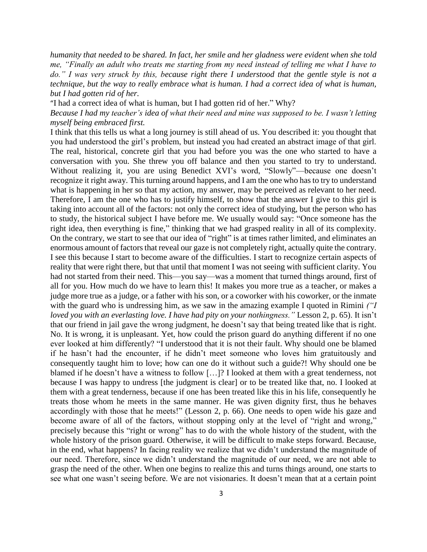*humanity that needed to be shared. In fact, her smile and her gladness were evident when she told me, "Finally an adult who treats me starting from my need instead of telling me what I have to do." I was very struck by this, because right there I understood that the gentle style is not a technique, but the way to really embrace what is human. I had a correct idea of what is human, but I had gotten rid of her.*

"I had a correct idea of what is human, but I had gotten rid of her." Why?

*Because I had my teacher's idea of what their need and mine was supposed to be. I wasn't letting myself being embraced first.*

I think that this tells us what a long journey is still ahead of us. You described it: you thought that you had understood the girl's problem, but instead you had created an abstract image of that girl. The real, historical, concrete girl that you had before you was the one who started to have a conversation with you. She threw you off balance and then you started to try to understand. Without realizing it, you are using Benedict XVI's word, "Slowly"—because one doesn't recognize it right away. This turning around happens, and I am the one who has to try to understand what is happening in her so that my action, my answer, may be perceived as relevant to her need. Therefore, I am the one who has to justify himself, to show that the answer I give to this girl is taking into account all of the factors: not only the correct idea of studying, but the person who has to study, the historical subject I have before me. We usually would say: "Once someone has the right idea, then everything is fine," thinking that we had grasped reality in all of its complexity. On the contrary, we start to see that our idea of "right" is at times rather limited, and eliminates an enormous amount of factors that reveal our gaze is not completely right, actually quite the contrary. I see this because I start to become aware of the difficulties. I start to recognize certain aspects of reality that were right there, but that until that moment I was not seeing with sufficient clarity. You had not started from their need. This—you say—was a moment that turned things around, first of all for you. How much do we have to learn this! It makes you more true as a teacher, or makes a judge more true as a judge, or a father with his son, or a coworker with his coworker, or the inmate with the guard who is undressing him, as we saw in the amazing example I quoted in Rimini *("I loved you with an everlasting love. I have had pity on your nothingness."* Lesson 2, p. 65). It isn't that our friend in jail gave the wrong judgment, he doesn't say that being treated like that is right. No. It is wrong, it is unpleasant. Yet, how could the prison guard do anything different if no one ever looked at him differently? "I understood that it is not their fault. Why should one be blamed if he hasn't had the encounter, if he didn't meet someone who loves him gratuitously and consequently taught him to love; how can one do it without such a guide?! Why should one be blamed if he doesn't have a witness to follow […]? I looked at them with a great tenderness, not because I was happy to undress [the judgment is clear] or to be treated like that, no. I looked at them with a great tenderness, because if one has been treated like this in his life, consequently he treats those whom he meets in the same manner. He was given dignity first, thus he behaves accordingly with those that he meets!" (Lesson 2, p. 66). One needs to open wide his gaze and become aware of all of the factors, without stopping only at the level of "right and wrong," precisely because this "right or wrong" has to do with the whole history of the student, with the whole history of the prison guard. Otherwise, it will be difficult to make steps forward. Because, in the end, what happens? In facing reality we realize that we didn't understand the magnitude of our need. Therefore, since we didn't understand the magnitude of our need, we are not able to grasp the need of the other. When one begins to realize this and turns things around, one starts to see what one wasn't seeing before. We are not visionaries. It doesn't mean that at a certain point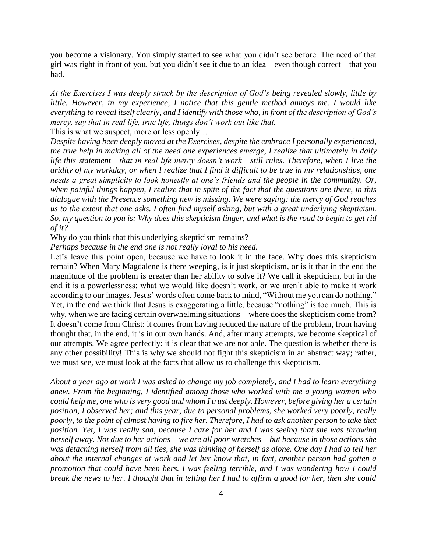you become a visionary. You simply started to see what you didn't see before. The need of that girl was right in front of you, but you didn't see it due to an idea—even though correct—that you had.

*At the Exercises I was deeply struck by the description of God's being revealed slowly, little by little. However, in my experience, I notice that this gentle method annoys me. I would like everything to reveal itself clearly, and I identify with those who, in front of the description of God's mercy, say that in real life, true life, things don't work out like that.*

This is what we suspect, more or less openly…

*Despite having been deeply moved at the Exercises, despite the embrace I personally experienced, the true help in making all of the need one experiences emerge, I realize that ultimately in daily life this statement*—*that in real life mercy doesn't work*—*still rules. Therefore, when I live the aridity of my workday, or when I realize that I find it difficult to be true in my relationships, one needs a great simplicity to look honestly at one's friends and the people in the community. Or, when painful things happen, I realize that in spite of the fact that the questions are there, in this dialogue with the Presence something new is missing. We were saying: the mercy of God reaches us to the extent that one asks. I often find myself asking, but with a great underlying skepticism. So, my question to you is: Why does this skepticism linger, and what is the road to begin to get rid of it?*

Why do you think that this underlying skepticism remains?

*Perhaps because in the end one is not really loyal to his need.*

Let's leave this point open, because we have to look it in the face. Why does this skepticism remain? When Mary Magdalene is there weeping, is it just skepticism, or is it that in the end the magnitude of the problem is greater than her ability to solve it? We call it skepticism, but in the end it is a powerlessness: what we would like doesn't work, or we aren't able to make it work according to our images. Jesus' words often come back to mind, "Without me you can do nothing." Yet, in the end we think that Jesus is exaggerating a little, because "nothing" is too much. This is why, when we are facing certain overwhelming situations—where does the skepticism come from? It doesn't come from Christ: it comes from having reduced the nature of the problem, from having thought that, in the end, it is in our own hands. And, after many attempts, we become skeptical of our attempts. We agree perfectly: it is clear that we are not able. The question is whether there is any other possibility! This is why we should not fight this skepticism in an abstract way; rather, we must see, we must look at the facts that allow us to challenge this skepticism.

*About a year ago at work I was asked to change my job completely, and I had to learn everything anew. From the beginning, I identified among those who worked with me a young woman who could help me, one who is very good and whom I trust deeply. However, before giving her a certain position, I observed her; and this year, due to personal problems, she worked very poorly, really poorly, to the point of almost having to fire her. Therefore, I had to ask another person to take that position. Yet, I was really sad, because I care for her and I was seeing that she was throwing herself away. Not due to her actions*—*we are all poor wretches*—*but because in those actions she was detaching herself from all ties, she was thinking of herself as alone. One day I had to tell her about the internal changes at work and let her know that, in fact, another person had gotten a promotion that could have been hers. I was feeling terrible, and I was wondering how I could break the news to her. I thought that in telling her I had to affirm a good for her, then she could*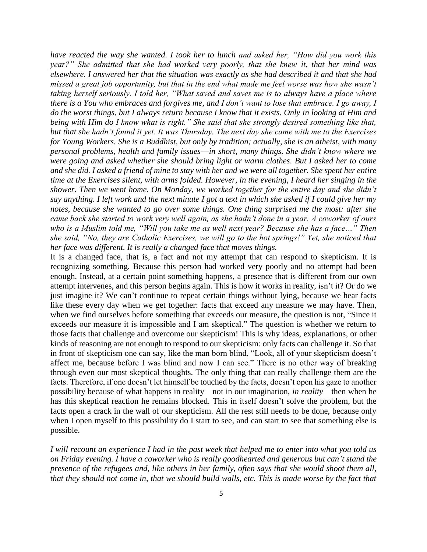*have reacted the way she wanted. I took her to lunch and asked her, "How did you work this year?" She admitted that she had worked very poorly, that she knew it, that her mind was elsewhere. I answered her that the situation was exactly as she had described it and that she had missed a great job opportunity, but that in the end what made me feel worse was how she wasn't taking herself seriously. I told her, "What saved and saves me is to always have a place where there is a You who embraces and forgives me, and I don't want to lose that embrace. I go away, I do the worst things, but I always return because I know that it exists. Only in looking at Him and being with Him do I know what is right." She said that she strongly desired something like that, but that she hadn't found it yet. It was Thursday. The next day she came with me to the Exercises for Young Workers. She is a Buddhist, but only by tradition; actually, she is an atheist, with many personal problems, health and family issues*—*in short, many things. She didn't know where we were going and asked whether she should bring light or warm clothes. But I asked her to come and she did. I asked a friend of mine to stay with her and we were all together. She spent her entire time at the Exercises silent, with arms folded. However, in the evening, I heard her singing in the shower. Then we went home. On Monday, we worked together for the entire day and she didn't say anything. I left work and the next minute I got a text in which she asked if I could give her my notes, because she wanted to go over some things. One thing surprised me the most: after she came back she started to work very well again, as she hadn't done in a year. A coworker of ours who is a Muslim told me, "Will you take me as well next year? Because she has a face…" Then she said, "No, they are Catholic Exercises, we will go to the hot springs!" Yet, she noticed that her face was different. It is really a changed face that moves things.*

It is a changed face, that is, a fact and not my attempt that can respond to skepticism. It is recognizing something. Because this person had worked very poorly and no attempt had been enough. Instead, at a certain point something happens, a presence that is different from our own attempt intervenes, and this person begins again. This is how it works in reality, isn't it? Or do we just imagine it? We can't continue to repeat certain things without lying, because we hear facts like these every day when we get together: facts that exceed any measure we may have. Then, when we find ourselves before something that exceeds our measure, the question is not, "Since it exceeds our measure it is impossible and I am skeptical." The question is whether we return to those facts that challenge and overcome our skepticism! This is why ideas, explanations, or other kinds of reasoning are not enough to respond to our skepticism: only facts can challenge it. So that in front of skepticism one can say, like the man born blind, "Look, all of your skepticism doesn't affect me, because before I was blind and now I can see." There is no other way of breaking through even our most skeptical thoughts. The only thing that can really challenge them are the facts. Therefore, if one doesn't let himself be touched by the facts, doesn't open his gaze to another possibility because of what happens in reality—not in our imagination, *in reality*—then when he has this skeptical reaction he remains blocked. This in itself doesn't solve the problem, but the facts open a crack in the wall of our skepticism. All the rest still needs to be done, because only when I open myself to this possibility do I start to see, and can start to see that something else is possible.

*I will recount an experience I had in the past week that helped me to enter into what you told us on Friday evening. I have a coworker who is really goodhearted and generous but can't stand the presence of the refugees and, like others in her family, often says that she would shoot them all, that they should not come in, that we should build walls, etc. This is made worse by the fact that*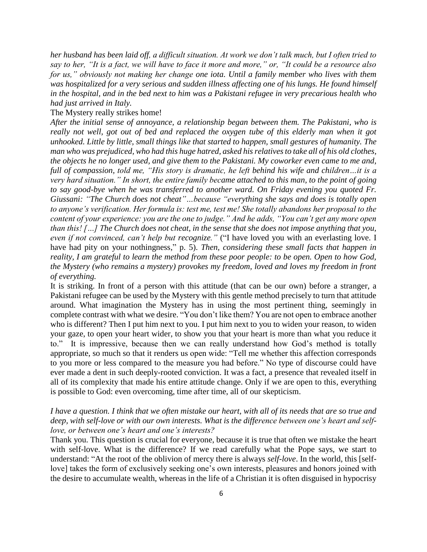*her husband has been laid off, a difficult situation. At work we don't talk much, but I often tried to say to her, "It is a fact, we will have to face it more and more," or, "It could be a resource also for us," obviously not making her change one iota. Until a family member who lives with them was hospitalized for a very serious and sudden illness affecting one of his lungs. He found himself in the hospital, and in the bed next to him was a Pakistani refugee in very precarious health who had just arrived in Italy.*

## The Mystery really strikes home!

*After the initial sense of annoyance, a relationship began between them. The Pakistani, who is really not well, got out of bed and replaced the oxygen tube of this elderly man when it got unhooked. Little by little, small things like that started to happen, small gestures of humanity. The man who was prejudiced, who had this huge hatred, asked his relatives to take all of his old clothes, the objects he no longer used, and give them to the Pakistani. My coworker even came to me and, full of compassion, told me, "His story is dramatic, he left behind his wife and children…it is a very hard situation." In short, the entire family became attached to this man, to the point of going to say good-bye when he was transferred to another ward. On Friday evening you quoted Fr. Giussani: "The Church does not cheat"…because "everything she says and does is totally open to anyone's verification. Her formula is: test me, test me! She totally abandons her proposal to the content of your experience: you are the one to judge." And he adds, "You can't get any more open than this! […] The Church does not cheat, in the sense that she does not impose anything that you, even if not convinced, can't help but recognize."* ("I have loved you with an everlasting love. I have had pity on your nothingness," p. 5). *Then, considering these small facts that happen in reality, I am grateful to learn the method from these poor people: to be open. Open to how God, the Mystery (who remains a mystery) provokes my freedom, loved and loves my freedom in front of everything.*

It is striking. In front of a person with this attitude (that can be our own) before a stranger, a Pakistani refugee can be used by the Mystery with this gentle method precisely to turn that attitude around. What imagination the Mystery has in using the most pertinent thing, seemingly in complete contrast with what we desire. "You don't like them? You are not open to embrace another who is different? Then I put him next to you. I put him next to you to widen your reason, to widen your gaze, to open your heart wider, to show you that your heart is more than what you reduce it to." It is impressive, because then we can really understand how God's method is totally appropriate, so much so that it renders us open wide: "Tell me whether this affection corresponds to you more or less compared to the measure you had before." No type of discourse could have ever made a dent in such deeply-rooted conviction. It was a fact, a presence that revealed itself in all of its complexity that made his entire attitude change. Only if we are open to this, everything is possible to God: even overcoming, time after time, all of our skepticism.

## *I have a question. I think that we often mistake our heart, with all of its needs that are so true and deep, with self-love or with our own interests. What is the difference between one's heart and selflove, or between one's heart and one's interests?*

Thank you. This question is crucial for everyone, because it is true that often we mistake the heart with self-love. What is the difference? If we read carefully what the Pope says, we start to understand: "At the root of the oblivion of mercy there is always *self-love*. In the world, this [selflove] takes the form of exclusively seeking one's own interests, pleasures and honors joined with the desire to accumulate wealth, whereas in the life of a Christian it is often disguised in hypocrisy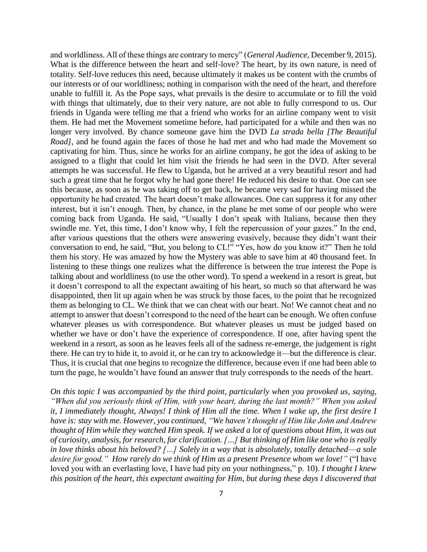and worldliness. All of these things are contrary to mercy" (*General Audience*, December 9, 2015). What is the difference between the heart and self-love? The heart, by its own nature, is need of totality. Self-love reduces this need, because ultimately it makes us be content with the crumbs of our interests or of our worldliness; nothing in comparison with the need of the heart, and therefore unable to fulfill it. As the Pope says, what prevails is the desire to accumulate or to fill the void with things that ultimately, due to their very nature, are not able to fully correspond to us. Our friends in Uganda were telling me that a friend who works for an airline company went to visit them. He had met the Movement sometime before, had participated for a while and then was no longer very involved. By chance someone gave him the DVD *La strada bella [The Beautiful Road]*, and he found again the faces of those he had met and who had made the Movement so captivating for him. Thus, since he works for an airline company, he got the idea of asking to be assigned to a flight that could let him visit the friends he had seen in the DVD. After several attempts he was successful. He flew to Uganda, but he arrived at a very beautiful resort and had such a great time that he forgot why he had gone there! He reduced his desire to that. One can see this because, as soon as he was taking off to get back, he became very sad for having missed the opportunity he had created. The heart doesn't make allowances. One can suppress it for any other interest, but it isn't enough. Then, by chance, in the plane he met some of our people who were coming back from Uganda. He said, "Usually I don't speak with Italians, because then they swindle me. Yet, this time, I don't know why, I felt the repercussion of your gazes." In the end, after various questions that the others were answering evasively, because they didn't want their conversation to end, he said, "But, you belong to CL!" "Yes, how do you know it?" Then he told them his story. He was amazed by how the Mystery was able to save him at 40 thousand feet. In listening to these things one realizes what the difference is between the true interest the Pope is talking about and worldliness (to use the other word). To spend a weekend in a resort is great, but it doesn't correspond to all the expectant awaiting of his heart, so much so that afterward he was disappointed, then lit up again when he was struck by those faces, to the point that he recognized them as belonging to CL. We think that we can cheat with our heart. No! We cannot cheat and no attempt to answer that doesn't correspond to the need of the heart can be enough. We often confuse whatever pleases us with correspondence. But whatever pleases us must be judged based on whether we have or don't have the experience of correspondence. If one, after having spent the weekend in a resort, as soon as he leaves feels all of the sadness re-emerge, the judgement is right there. He can try to hide it, to avoid it, or he can try to acknowledge it—but the difference is clear. Thus, it is crucial that one begins to recognize the difference, because even if one had been able to turn the page, he wouldn't have found an answer that truly corresponds to the needs of the heart.

*On this topic I was accompanied by the third point, particularly when you provoked us, saying, "When did you seriously think of Him, with your heart, during the last month?" When you asked it, I immediately thought, Always! I think of Him all the time. When I wake up, the first desire I have is: stay with me. However, you continued, "We haven't thought of Him like John and Andrew thought of Him while they watched Him speak. If we asked a lot of questions about Him, it was out of curiosity, analysis, for research, for clarification. […] But thinking of Him like one who is really in love thinks about his beloved? […] Solely in a way that is absolutely, totally detached*—*a sole*  desire for good." How rarely do we think of Him as a present Presence whom we love!" ("I have loved you with an everlasting love, I have had pity on your nothingness," p. 10). *I thought I knew this position of the heart, this expectant awaiting for Him, but during these days I discovered that*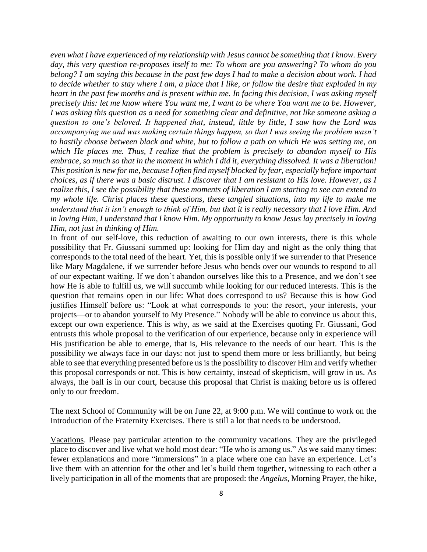*even what I have experienced of my relationship with Jesus cannot be something that I know. Every day, this very question re-proposes itself to me: To whom are you answering? To whom do you belong? I am saying this because in the past few days I had to make a decision about work. I had to decide whether to stay where I am, a place that I like, or follow the desire that exploded in my heart in the past few months and is present within me. In facing this decision, I was asking myself precisely this: let me know where You want me, I want to be where You want me to be. However, I was asking this question as a need for something clear and definitive, not like someone asking a question to one's beloved. It happened that, instead, little by little, I saw how the Lord was accompanying me and was making certain things happen, so that I was seeing the problem wasn't to hastily choose between black and white, but to follow a path on which He was setting me, on which He places me. Thus, I realize that the problem is precisely to abandon myself to His embrace, so much so that in the moment in which I did it, everything dissolved. It was a liberation! This position is new for me, because I often find myself blocked by fear, especially before important choices, as if there was a basic distrust. I discover that I am resistant to His love. However, as I realize this, I see the possibility that these moments of liberation I am starting to see can extend to my whole life. Christ places these questions, these tangled situations, into my life to make me understand that it isn't enough to think of Him, but that it is really necessary that I love Him. And in loving Him, I understand that I know Him. My opportunity to know Jesus lay precisely in loving Him, not just in thinking of Him.*

In front of our self-love, this reduction of awaiting to our own interests, there is this whole possibility that Fr. Giussani summed up: looking for Him day and night as the only thing that corresponds to the total need of the heart. Yet, this is possible only if we surrender to that Presence like Mary Magdalene, if we surrender before Jesus who bends over our wounds to respond to all of our expectant waiting. If we don't abandon ourselves like this to a Presence, and we don't see how He is able to fulfill us, we will succumb while looking for our reduced interests. This is the question that remains open in our life: What does correspond to us? Because this is how God justifies Himself before us: "Look at what corresponds to you: the resort, your interests, your projects—or to abandon yourself to My Presence." Nobody will be able to convince us about this, except our own experience. This is why, as we said at the Exercises quoting Fr. Giussani, God entrusts this whole proposal to the verification of our experience, because only in experience will His justification be able to emerge, that is, His relevance to the needs of our heart. This is the possibility we always face in our days: not just to spend them more or less brilliantly, but being able to see that everything presented before us is the possibility to discover Him and verify whether this proposal corresponds or not. This is how certainty, instead of skepticism, will grow in us. As always, the ball is in our court, because this proposal that Christ is making before us is offered only to our freedom.

The next School of Community will be on June 22, at 9:00 p.m. We will continue to work on the Introduction of the Fraternity Exercises. There is still a lot that needs to be understood.

Vacations. Please pay particular attention to the community vacations. They are the privileged place to discover and live what we hold most dear: "He who is among us." As we said many times: fewer explanations and more "immersions" in a place where one can have an experience. Let's live them with an attention for the other and let's build them together, witnessing to each other a lively participation in all of the moments that are proposed: the *Angelus,* Morning Prayer, the hike,